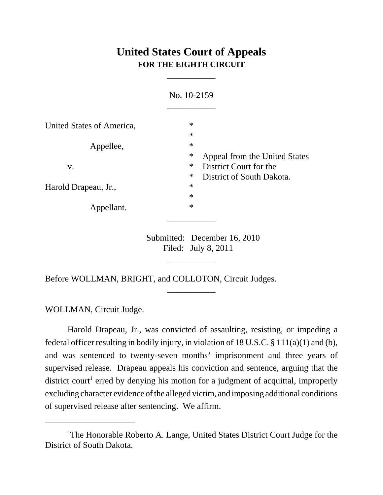# **United States Court of Appeals FOR THE EIGHTH CIRCUIT**

\_\_\_\_\_\_\_\_\_\_\_

|                           | No. 10-2159                             |
|---------------------------|-----------------------------------------|
| United States of America, | $\ast$                                  |
|                           | $\ast$                                  |
| Appellee,                 | $\ast$                                  |
|                           | $\ast$<br>Appeal from the United States |
| V.                        | $\ast$<br>District Court for the        |
|                           | $\ast$<br>District of South Dakota.     |
| Harold Drapeau, Jr.,      | $\ast$                                  |
|                           | $\ast$                                  |
| Appellant.                | $\ast$                                  |

Submitted: December 16, 2010 Filed: July 8, 2011

\_\_\_\_\_\_\_\_\_\_\_

\_\_\_\_\_\_\_\_\_\_\_

Before WOLLMAN, BRIGHT, and COLLOTON, Circuit Judges.

WOLLMAN, Circuit Judge.

Harold Drapeau, Jr., was convicted of assaulting, resisting, or impeding a federal officer resulting in bodily injury, in violation of 18 U.S.C. § 111(a)(1) and (b), and was sentenced to twenty-seven months' imprisonment and three years of supervised release. Drapeau appeals his conviction and sentence, arguing that the district court<sup>1</sup> erred by denying his motion for a judgment of acquittal, improperly excluding character evidence of the alleged victim, and imposing additional conditions of supervised release after sentencing. We affirm.

<sup>&</sup>lt;sup>1</sup>The Honorable Roberto A. Lange, United States District Court Judge for the District of South Dakota.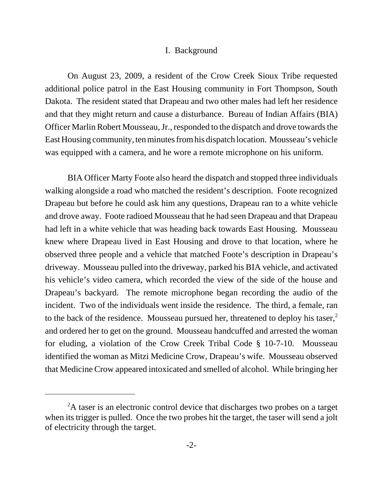#### I. Background

On August 23, 2009, a resident of the Crow Creek Sioux Tribe requested additional police patrol in the East Housing community in Fort Thompson, South Dakota. The resident stated that Drapeau and two other males had left her residence and that they might return and cause a disturbance. Bureau of Indian Affairs (BIA) Officer Marlin Robert Mousseau, Jr., responded to the dispatch and drove towards the East Housing community, ten minutes from his dispatch location. Mousseau's vehicle was equipped with a camera, and he wore a remote microphone on his uniform.

BIA Officer Marty Foote also heard the dispatch and stopped three individuals walking alongside a road who matched the resident's description. Foote recognized Drapeau but before he could ask him any questions, Drapeau ran to a white vehicle and drove away. Foote radioed Mousseau that he had seen Drapeau and that Drapeau had left in a white vehicle that was heading back towards East Housing. Mousseau knew where Drapeau lived in East Housing and drove to that location, where he observed three people and a vehicle that matched Foote's description in Drapeau's driveway. Mousseau pulled into the driveway, parked his BIA vehicle, and activated his vehicle's video camera, which recorded the view of the side of the house and Drapeau's backyard. The remote microphone began recording the audio of the incident. Two of the individuals went inside the residence. The third, a female, ran to the back of the residence. Mousseau pursued her, threatened to deploy his taser, $2$ and ordered her to get on the ground. Mousseau handcuffed and arrested the woman for eluding, a violation of the Crow Creek Tribal Code § 10-7-10. Mousseau identified the woman as Mitzi Medicine Crow, Drapeau's wife. Mousseau observed that Medicine Crow appeared intoxicated and smelled of alcohol. While bringing her

<sup>&</sup>lt;sup>2</sup>A taser is an electronic control device that discharges two probes on a target when its trigger is pulled. Once the two probes hit the target, the taser will send a jolt of electricity through the target.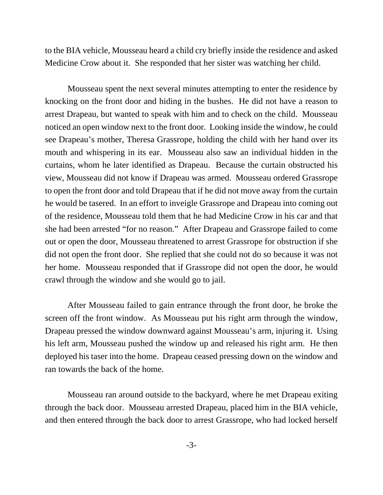to the BIA vehicle, Mousseau heard a child cry briefly inside the residence and asked Medicine Crow about it. She responded that her sister was watching her child.

Mousseau spent the next several minutes attempting to enter the residence by knocking on the front door and hiding in the bushes. He did not have a reason to arrest Drapeau, but wanted to speak with him and to check on the child. Mousseau noticed an open window next to the front door. Looking inside the window, he could see Drapeau's mother, Theresa Grassrope, holding the child with her hand over its mouth and whispering in its ear. Mousseau also saw an individual hidden in the curtains, whom he later identified as Drapeau. Because the curtain obstructed his view, Mousseau did not know if Drapeau was armed. Mousseau ordered Grassrope to open the front door and told Drapeau that if he did not move away from the curtain he would be tasered. In an effort to inveigle Grassrope and Drapeau into coming out of the residence, Mousseau told them that he had Medicine Crow in his car and that she had been arrested "for no reason." After Drapeau and Grassrope failed to come out or open the door, Mousseau threatened to arrest Grassrope for obstruction if she did not open the front door. She replied that she could not do so because it was not her home. Mousseau responded that if Grassrope did not open the door, he would crawl through the window and she would go to jail.

After Mousseau failed to gain entrance through the front door, he broke the screen off the front window. As Mousseau put his right arm through the window, Drapeau pressed the window downward against Mousseau's arm, injuring it. Using his left arm, Mousseau pushed the window up and released his right arm. He then deployed his taser into the home. Drapeau ceased pressing down on the window and ran towards the back of the home.

Mousseau ran around outside to the backyard, where he met Drapeau exiting through the back door. Mousseau arrested Drapeau, placed him in the BIA vehicle, and then entered through the back door to arrest Grassrope, who had locked herself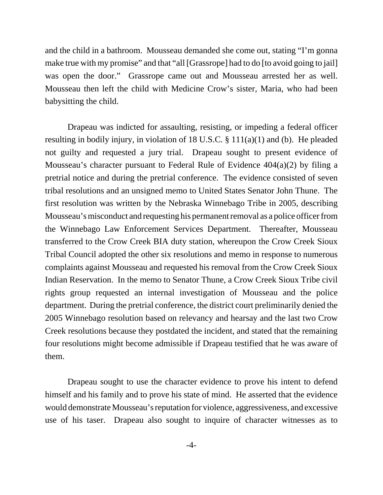and the child in a bathroom. Mousseau demanded she come out, stating "I'm gonna make true with my promise" and that "all [Grassrope] had to do [to avoid going to jail] was open the door." Grassrope came out and Mousseau arrested her as well. Mousseau then left the child with Medicine Crow's sister, Maria, who had been babysitting the child.

Drapeau was indicted for assaulting, resisting, or impeding a federal officer resulting in bodily injury, in violation of 18 U.S.C. § 111(a)(1) and (b). He pleaded not guilty and requested a jury trial. Drapeau sought to present evidence of Mousseau's character pursuant to Federal Rule of Evidence 404(a)(2) by filing a pretrial notice and during the pretrial conference. The evidence consisted of seven tribal resolutions and an unsigned memo to United States Senator John Thune. The first resolution was written by the Nebraska Winnebago Tribe in 2005, describing Mousseau's misconduct and requesting his permanent removal as a police officer from the Winnebago Law Enforcement Services Department. Thereafter, Mousseau transferred to the Crow Creek BIA duty station, whereupon the Crow Creek Sioux Tribal Council adopted the other six resolutions and memo in response to numerous complaints against Mousseau and requested his removal from the Crow Creek Sioux Indian Reservation. In the memo to Senator Thune, a Crow Creek Sioux Tribe civil rights group requested an internal investigation of Mousseau and the police department. During the pretrial conference, the district court preliminarily denied the 2005 Winnebago resolution based on relevancy and hearsay and the last two Crow Creek resolutions because they postdated the incident, and stated that the remaining four resolutions might become admissible if Drapeau testified that he was aware of them.

Drapeau sought to use the character evidence to prove his intent to defend himself and his family and to prove his state of mind. He asserted that the evidence would demonstrate Mousseau's reputation for violence, aggressiveness, and excessive use of his taser. Drapeau also sought to inquire of character witnesses as to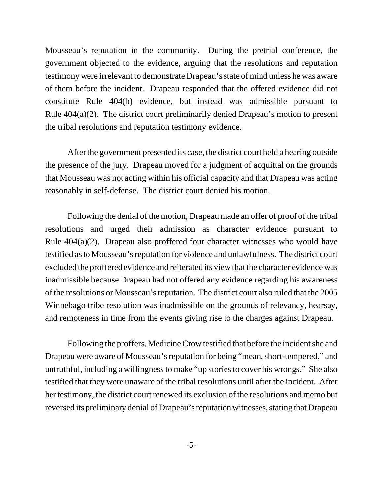Mousseau's reputation in the community. During the pretrial conference, the government objected to the evidence, arguing that the resolutions and reputation testimony were irrelevant to demonstrate Drapeau's state of mind unless he was aware of them before the incident. Drapeau responded that the offered evidence did not constitute Rule 404(b) evidence, but instead was admissible pursuant to Rule 404(a)(2). The district court preliminarily denied Drapeau's motion to present the tribal resolutions and reputation testimony evidence.

After the government presented its case, the district court held a hearing outside the presence of the jury. Drapeau moved for a judgment of acquittal on the grounds that Mousseau was not acting within his official capacity and that Drapeau was acting reasonably in self-defense. The district court denied his motion.

Following the denial of the motion, Drapeau made an offer of proof of the tribal resolutions and urged their admission as character evidence pursuant to Rule 404(a)(2). Drapeau also proffered four character witnesses who would have testified as to Mousseau's reputation for violence and unlawfulness. The district court excluded the proffered evidence and reiterated its view that the character evidence was inadmissible because Drapeau had not offered any evidence regarding his awareness of the resolutions or Mousseau's reputation. The district court also ruled that the 2005 Winnebago tribe resolution was inadmissible on the grounds of relevancy, hearsay, and remoteness in time from the events giving rise to the charges against Drapeau.

Following the proffers, Medicine Crow testified that before the incident she and Drapeau were aware of Mousseau's reputation for being "mean, short-tempered," and untruthful, including a willingness to make "up stories to cover his wrongs." She also testified that they were unaware of the tribal resolutions until after the incident. After her testimony, the district court renewed its exclusion of the resolutions and memo but reversed its preliminary denial of Drapeau's reputation witnesses, stating that Drapeau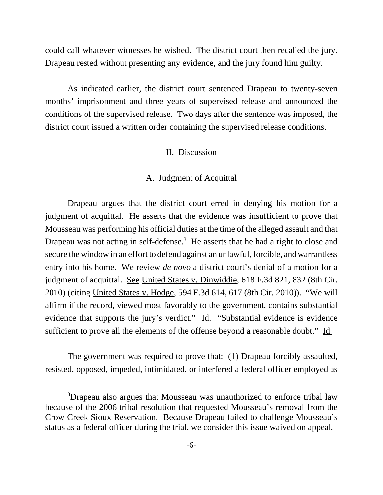could call whatever witnesses he wished. The district court then recalled the jury. Drapeau rested without presenting any evidence, and the jury found him guilty.

As indicated earlier, the district court sentenced Drapeau to twenty-seven months' imprisonment and three years of supervised release and announced the conditions of the supervised release. Two days after the sentence was imposed, the district court issued a written order containing the supervised release conditions.

#### II. Discussion

#### A. Judgment of Acquittal

Drapeau argues that the district court erred in denying his motion for a judgment of acquittal. He asserts that the evidence was insufficient to prove that Mousseau was performing his official duties at the time of the alleged assault and that Drapeau was not acting in self-defense.<sup>3</sup> He asserts that he had a right to close and secure the window in an effort to defend against an unlawful, forcible, and warrantless entry into his home. We review *de novo* a district court's denial of a motion for a judgment of acquittal. See United States v. Dinwiddie, 618 F.3d 821, 832 (8th Cir. 2010) (citing United States v. Hodge, 594 F.3d 614, 617 (8th Cir. 2010)). "We will affirm if the record, viewed most favorably to the government, contains substantial evidence that supports the jury's verdict." Id. "Substantial evidence is evidence sufficient to prove all the elements of the offense beyond a reasonable doubt." Id.

The government was required to prove that: (1) Drapeau forcibly assaulted, resisted, opposed, impeded, intimidated, or interfered a federal officer employed as

<sup>&</sup>lt;sup>3</sup>Drapeau also argues that Mousseau was unauthorized to enforce tribal law because of the 2006 tribal resolution that requested Mousseau's removal from the Crow Creek Sioux Reservation. Because Drapeau failed to challenge Mousseau's status as a federal officer during the trial, we consider this issue waived on appeal.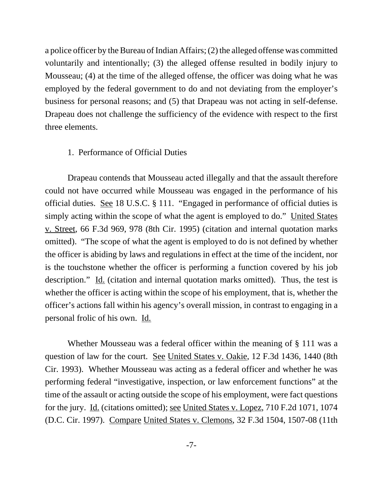a police officer by the Bureau of Indian Affairs; (2) the alleged offense was committed voluntarily and intentionally; (3) the alleged offense resulted in bodily injury to Mousseau; (4) at the time of the alleged offense, the officer was doing what he was employed by the federal government to do and not deviating from the employer's business for personal reasons; and (5) that Drapeau was not acting in self-defense. Drapeau does not challenge the sufficiency of the evidence with respect to the first three elements.

#### 1. Performance of Official Duties

Drapeau contends that Mousseau acted illegally and that the assault therefore could not have occurred while Mousseau was engaged in the performance of his official duties. See 18 U.S.C. § 111. "Engaged in performance of official duties is simply acting within the scope of what the agent is employed to do." United States v. Street, 66 F.3d 969, 978 (8th Cir. 1995) (citation and internal quotation marks omitted). "The scope of what the agent is employed to do is not defined by whether the officer is abiding by laws and regulations in effect at the time of the incident, nor is the touchstone whether the officer is performing a function covered by his job description." Id. (citation and internal quotation marks omitted). Thus, the test is whether the officer is acting within the scope of his employment, that is, whether the officer's actions fall within his agency's overall mission, in contrast to engaging in a personal frolic of his own. Id.

Whether Mousseau was a federal officer within the meaning of § 111 was a question of law for the court. See United States v. Oakie, 12 F.3d 1436, 1440 (8th Cir. 1993). Whether Mousseau was acting as a federal officer and whether he was performing federal "investigative, inspection, or law enforcement functions" at the time of the assault or acting outside the scope of his employment, were fact questions for the jury. <u>Id.</u> (citations omitted); <u>see United States v. Lopez</u>, 710 F.2d 1071, 1074 (D.C. Cir. 1997). Compare United States v. Clemons, 32 F.3d 1504, 1507-08 (11th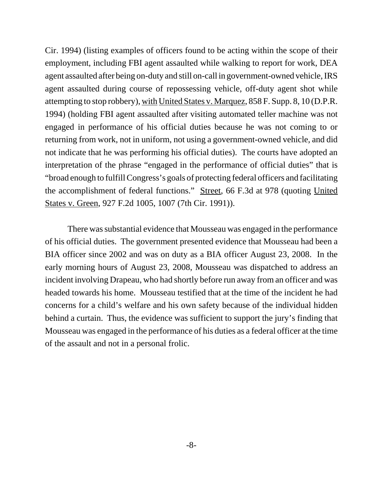Cir. 1994) (listing examples of officers found to be acting within the scope of their employment, including FBI agent assaulted while walking to report for work, DEA agent assaulted after being on-duty and still on-call in government-owned vehicle, IRS agent assaulted during course of repossessing vehicle, off-duty agent shot while attempting to stop robbery), with United States v. Marquez, 858 F. Supp. 8, 10 (D.P.R. 1994) (holding FBI agent assaulted after visiting automated teller machine was not engaged in performance of his official duties because he was not coming to or returning from work, not in uniform, not using a government-owned vehicle, and did not indicate that he was performing his official duties). The courts have adopted an interpretation of the phrase "engaged in the performance of official duties" that is "broad enough to fulfill Congress's goals of protecting federal officers and facilitating the accomplishment of federal functions." Street, 66 F.3d at 978 (quoting United States v. Green, 927 F.2d 1005, 1007 (7th Cir. 1991)).

There was substantial evidence that Mousseau was engaged in the performance of his official duties. The government presented evidence that Mousseau had been a BIA officer since 2002 and was on duty as a BIA officer August 23, 2008. In the early morning hours of August 23, 2008, Mousseau was dispatched to address an incident involving Drapeau, who had shortly before run away from an officer and was headed towards his home. Mousseau testified that at the time of the incident he had concerns for a child's welfare and his own safety because of the individual hidden behind a curtain. Thus, the evidence was sufficient to support the jury's finding that Mousseau was engaged in the performance of his duties as a federal officer at the time of the assault and not in a personal frolic.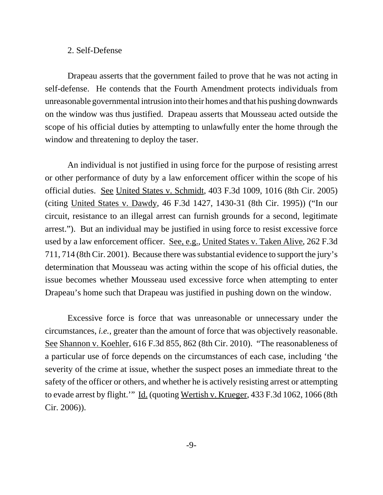#### 2. Self-Defense

Drapeau asserts that the government failed to prove that he was not acting in self-defense. He contends that the Fourth Amendment protects individuals from unreasonable governmental intrusion into their homes and that his pushing downwards on the window was thus justified. Drapeau asserts that Mousseau acted outside the scope of his official duties by attempting to unlawfully enter the home through the window and threatening to deploy the taser.

An individual is not justified in using force for the purpose of resisting arrest or other performance of duty by a law enforcement officer within the scope of his official duties. See United States v. Schmidt, 403 F.3d 1009, 1016 (8th Cir. 2005) (citing United States v. Dawdy, 46 F.3d 1427, 1430-31 (8th Cir. 1995)) ("In our circuit, resistance to an illegal arrest can furnish grounds for a second, legitimate arrest."). But an individual may be justified in using force to resist excessive force used by a law enforcement officer. See, e.g., United States v. Taken Alive, 262 F.3d 711, 714 (8th Cir. 2001). Because there was substantial evidence to support the jury's determination that Mousseau was acting within the scope of his official duties, the issue becomes whether Mousseau used excessive force when attempting to enter Drapeau's home such that Drapeau was justified in pushing down on the window.

Excessive force is force that was unreasonable or unnecessary under the circumstances, *i.e.*, greater than the amount of force that was objectively reasonable. See Shannon v. Koehler, 616 F.3d 855, 862 (8th Cir. 2010). "The reasonableness of a particular use of force depends on the circumstances of each case, including 'the severity of the crime at issue, whether the suspect poses an immediate threat to the safety of the officer or others, and whether he is actively resisting arrest or attempting to evade arrest by flight.'" Id. (quoting Wertish v. Krueger, 433 F.3d 1062, 1066 (8th Cir. 2006)).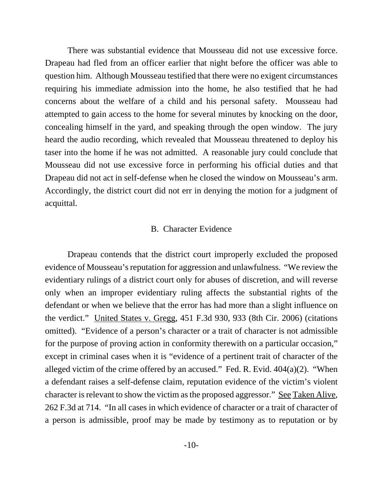There was substantial evidence that Mousseau did not use excessive force. Drapeau had fled from an officer earlier that night before the officer was able to question him. Although Mousseau testified that there were no exigent circumstances requiring his immediate admission into the home, he also testified that he had concerns about the welfare of a child and his personal safety. Mousseau had attempted to gain access to the home for several minutes by knocking on the door, concealing himself in the yard, and speaking through the open window. The jury heard the audio recording, which revealed that Mousseau threatened to deploy his taser into the home if he was not admitted. A reasonable jury could conclude that Mousseau did not use excessive force in performing his official duties and that Drapeau did not act in self-defense when he closed the window on Mousseau's arm. Accordingly, the district court did not err in denying the motion for a judgment of acquittal.

#### B. Character Evidence

Drapeau contends that the district court improperly excluded the proposed evidence of Mousseau's reputation for aggression and unlawfulness. "We review the evidentiary rulings of a district court only for abuses of discretion, and will reverse only when an improper evidentiary ruling affects the substantial rights of the defendant or when we believe that the error has had more than a slight influence on the verdict." United States v. Gregg, 451 F.3d 930, 933 (8th Cir. 2006) (citations omitted). "Evidence of a person's character or a trait of character is not admissible for the purpose of proving action in conformity therewith on a particular occasion," except in criminal cases when it is "evidence of a pertinent trait of character of the alleged victim of the crime offered by an accused." Fed. R. Evid.  $404(a)(2)$ . "When a defendant raises a self-defense claim, reputation evidence of the victim's violent character is relevant to show the victim as the proposed aggressor." See Taken Alive, 262 F.3d at 714. "In all cases in which evidence of character or a trait of character of a person is admissible, proof may be made by testimony as to reputation or by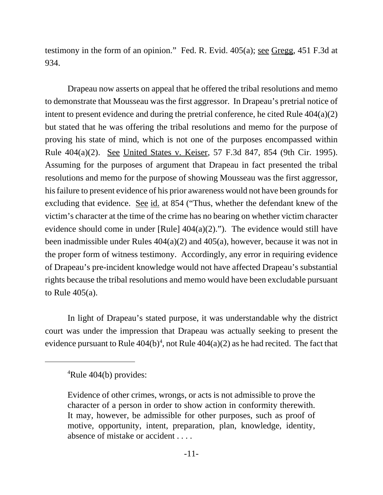testimony in the form of an opinion." Fed. R. Evid. 405(a); see Gregg, 451 F.3d at 934.

Drapeau now asserts on appeal that he offered the tribal resolutions and memo to demonstrate that Mousseau was the first aggressor. In Drapeau's pretrial notice of intent to present evidence and during the pretrial conference, he cited Rule 404(a)(2) but stated that he was offering the tribal resolutions and memo for the purpose of proving his state of mind, which is not one of the purposes encompassed within Rule 404(a)(2). See United States v. Keiser, 57 F.3d 847, 854 (9th Cir. 1995). Assuming for the purposes of argument that Drapeau in fact presented the tribal resolutions and memo for the purpose of showing Mousseau was the first aggressor, his failure to present evidence of his prior awareness would not have been grounds for excluding that evidence. See id. at 854 ("Thus, whether the defendant knew of the victim's character at the time of the crime has no bearing on whether victim character evidence should come in under [Rule] 404(a)(2)."). The evidence would still have been inadmissible under Rules  $404(a)(2)$  and  $405(a)$ , however, because it was not in the proper form of witness testimony. Accordingly, any error in requiring evidence of Drapeau's pre-incident knowledge would not have affected Drapeau's substantial rights because the tribal resolutions and memo would have been excludable pursuant to Rule 405(a).

In light of Drapeau's stated purpose, it was understandable why the district court was under the impression that Drapeau was actually seeking to present the evidence pursuant to Rule  $404(b)^4$ , not Rule  $404(a)(2)$  as he had recited. The fact that

<sup>&</sup>lt;sup>4</sup>Rule 404(b) provides:

Evidence of other crimes, wrongs, or acts is not admissible to prove the character of a person in order to show action in conformity therewith. It may, however, be admissible for other purposes, such as proof of motive, opportunity, intent, preparation, plan, knowledge, identity, absence of mistake or accident . . . .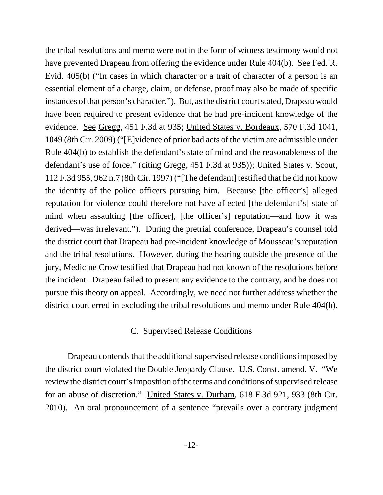the tribal resolutions and memo were not in the form of witness testimony would not have prevented Drapeau from offering the evidence under Rule 404(b). See Fed. R. Evid. 405(b) ("In cases in which character or a trait of character of a person is an essential element of a charge, claim, or defense, proof may also be made of specific instances of that person's character."). But, as the district court stated, Drapeau would have been required to present evidence that he had pre-incident knowledge of the evidence. See Gregg, 451 F.3d at 935; United States v. Bordeaux, 570 F.3d 1041, 1049 (8th Cir. 2009) ("[E]vidence of prior bad acts of the victim are admissible under Rule 404(b) to establish the defendant's state of mind and the reasonableness of the defendant's use of force." (citing Gregg, 451 F.3d at 935)); United States v. Scout, 112 F.3d 955, 962 n.7 (8th Cir. 1997) ("[The defendant] testified that he did not know the identity of the police officers pursuing him. Because [the officer's] alleged reputation for violence could therefore not have affected [the defendant's] state of mind when assaulting [the officer], [the officer's] reputation—and how it was derived—was irrelevant."). During the pretrial conference, Drapeau's counsel told the district court that Drapeau had pre-incident knowledge of Mousseau's reputation and the tribal resolutions. However, during the hearing outside the presence of the jury, Medicine Crow testified that Drapeau had not known of the resolutions before the incident. Drapeau failed to present any evidence to the contrary, and he does not pursue this theory on appeal. Accordingly, we need not further address whether the district court erred in excluding the tribal resolutions and memo under Rule 404(b).

### C. Supervised Release Conditions

Drapeau contends that the additional supervised release conditions imposed by the district court violated the Double Jeopardy Clause. U.S. Const. amend. V. "We review the district court's imposition of the terms and conditions of supervised release for an abuse of discretion." United States v. Durham, 618 F.3d 921, 933 (8th Cir. 2010). An oral pronouncement of a sentence "prevails over a contrary judgment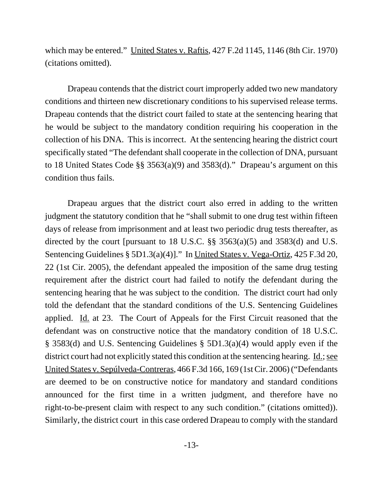which may be entered." United States v. Raftis, 427 F.2d 1145, 1146 (8th Cir. 1970) (citations omitted).

Drapeau contends that the district court improperly added two new mandatory conditions and thirteen new discretionary conditions to his supervised release terms. Drapeau contends that the district court failed to state at the sentencing hearing that he would be subject to the mandatory condition requiring his cooperation in the collection of his DNA. This is incorrect. At the sentencing hearing the district court specifically stated "The defendant shall cooperate in the collection of DNA, pursuant to 18 United States Code §§ 3563(a)(9) and 3583(d)." Drapeau's argument on this condition thus fails.

Drapeau argues that the district court also erred in adding to the written judgment the statutory condition that he "shall submit to one drug test within fifteen days of release from imprisonment and at least two periodic drug tests thereafter, as directed by the court [pursuant to 18 U.S.C. §§ 3563(a)(5) and 3583(d) and U.S. Sentencing Guidelines § 5D1.3(a)(4)]." In United States v. Vega-Ortiz, 425 F.3d 20, 22 (1st Cir. 2005), the defendant appealed the imposition of the same drug testing requirement after the district court had failed to notify the defendant during the sentencing hearing that he was subject to the condition. The district court had only told the defendant that the standard conditions of the U.S. Sentencing Guidelines applied. Id. at 23. The Court of Appeals for the First Circuit reasoned that the defendant was on constructive notice that the mandatory condition of 18 U.S.C. § 3583(d) and U.S. Sentencing Guidelines § 5D1.3(a)(4) would apply even if the district court had not explicitly stated this condition at the sentencing hearing. <u>Id.; see</u> United States v. Sepúlveda-Contreras, 466 F.3d 166, 169 (1st Cir. 2006) ("Defendants are deemed to be on constructive notice for mandatory and standard conditions announced for the first time in a written judgment, and therefore have no right-to-be-present claim with respect to any such condition." (citations omitted)). Similarly, the district court in this case ordered Drapeau to comply with the standard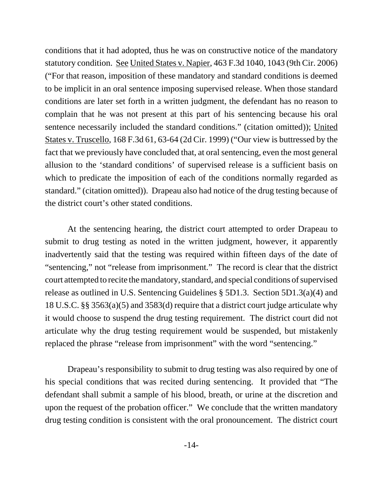conditions that it had adopted, thus he was on constructive notice of the mandatory statutory condition. See United States v. Napier, 463 F.3d 1040, 1043 (9th Cir. 2006) ("For that reason, imposition of these mandatory and standard conditions is deemed to be implicit in an oral sentence imposing supervised release. When those standard conditions are later set forth in a written judgment, the defendant has no reason to complain that he was not present at this part of his sentencing because his oral sentence necessarily included the standard conditions." (citation omitted)); United States v. Truscello, 168 F.3d 61, 63-64 (2d Cir. 1999) ("Our view is buttressed by the fact that we previously have concluded that, at oral sentencing, even the most general allusion to the 'standard conditions' of supervised release is a sufficient basis on which to predicate the imposition of each of the conditions normally regarded as standard." (citation omitted)). Drapeau also had notice of the drug testing because of the district court's other stated conditions.

At the sentencing hearing, the district court attempted to order Drapeau to submit to drug testing as noted in the written judgment, however, it apparently inadvertently said that the testing was required within fifteen days of the date of "sentencing," not "release from imprisonment." The record is clear that the district court attempted to recite the mandatory, standard, and special conditions of supervised release as outlined in U.S. Sentencing Guidelines § 5D1.3. Section 5D1.3(a)(4) and 18 U.S.C. §§ 3563(a)(5) and 3583(d) require that a district court judge articulate why it would choose to suspend the drug testing requirement. The district court did not articulate why the drug testing requirement would be suspended, but mistakenly replaced the phrase "release from imprisonment" with the word "sentencing."

Drapeau's responsibility to submit to drug testing was also required by one of his special conditions that was recited during sentencing. It provided that "The defendant shall submit a sample of his blood, breath, or urine at the discretion and upon the request of the probation officer." We conclude that the written mandatory drug testing condition is consistent with the oral pronouncement. The district court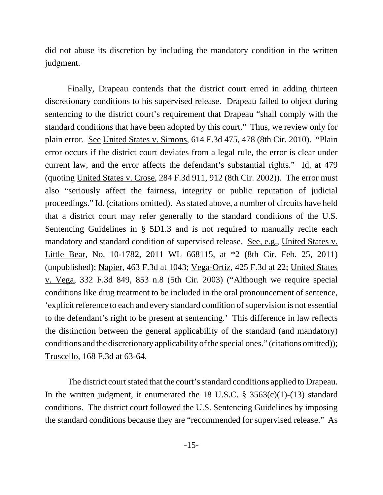did not abuse its discretion by including the mandatory condition in the written judgment.

Finally, Drapeau contends that the district court erred in adding thirteen discretionary conditions to his supervised release. Drapeau failed to object during sentencing to the district court's requirement that Drapeau "shall comply with the standard conditions that have been adopted by this court." Thus, we review only for plain error. See United States v. Simons, 614 F.3d 475, 478 (8th Cir. 2010). "Plain error occurs if the district court deviates from a legal rule, the error is clear under current law, and the error affects the defendant's substantial rights." Id. at 479 (quoting United States v. Crose, 284 F.3d 911, 912 (8th Cir. 2002)). The error must also "seriously affect the fairness, integrity or public reputation of judicial proceedings." Id. (citations omitted). As stated above, a number of circuits have held that a district court may refer generally to the standard conditions of the U.S. Sentencing Guidelines in § 5D1.3 and is not required to manually recite each mandatory and standard condition of supervised release. See, e.g., United States v. Little Bear, No. 10-1782, 2011 WL 668115, at \*2 (8th Cir. Feb. 25, 2011) (unpublished); Napier, 463 F.3d at 1043; Vega-Ortiz, 425 F.3d at 22; United States v. Vega, 332 F.3d 849, 853 n.8 (5th Cir. 2003) ("Although we require special conditions like drug treatment to be included in the oral pronouncement of sentence, 'explicit reference to each and every standard condition of supervision is not essential to the defendant's right to be present at sentencing.' This difference in law reflects the distinction between the general applicability of the standard (and mandatory) conditions and the discretionary applicability of the special ones." (citations omitted)); Truscello, 168 F.3d at 63-64.

The district court stated that the court's standard conditions applied to Drapeau. In the written judgment, it enumerated the 18 U.S.C.  $\S$  3563(c)(1)-(13) standard conditions. The district court followed the U.S. Sentencing Guidelines by imposing the standard conditions because they are "recommended for supervised release." As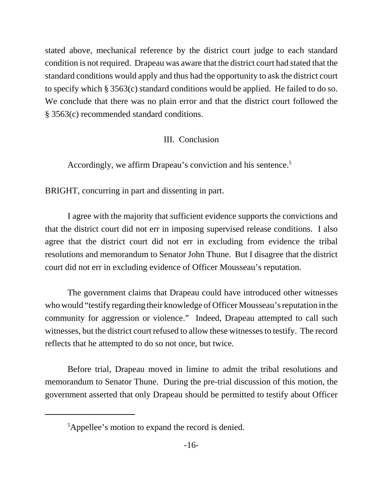stated above, mechanical reference by the district court judge to each standard condition is not required. Drapeau was aware that the district court had stated that the standard conditions would apply and thus had the opportunity to ask the district court to specify which § 3563(c) standard conditions would be applied. He failed to do so. We conclude that there was no plain error and that the district court followed the § 3563(c) recommended standard conditions.

## III. Conclusion

Accordingly, we affirm Drapeau's conviction and his sentence.<sup>5</sup>

BRIGHT, concurring in part and dissenting in part.

I agree with the majority that sufficient evidence supports the convictions and that the district court did not err in imposing supervised release conditions. I also agree that the district court did not err in excluding from evidence the tribal resolutions and memorandum to Senator John Thune. But I disagree that the district court did not err in excluding evidence of Officer Mousseau's reputation.

The government claims that Drapeau could have introduced other witnesses who would "testify regarding their knowledge of Officer Mousseau's reputation in the community for aggression or violence." Indeed, Drapeau attempted to call such witnesses, but the district court refused to allow these witnesses to testify. The record reflects that he attempted to do so not once, but twice.

Before trial, Drapeau moved in limine to admit the tribal resolutions and memorandum to Senator Thune. During the pre-trial discussion of this motion, the government asserted that only Drapeau should be permitted to testify about Officer

<sup>&</sup>lt;sup>5</sup>Appellee's motion to expand the record is denied.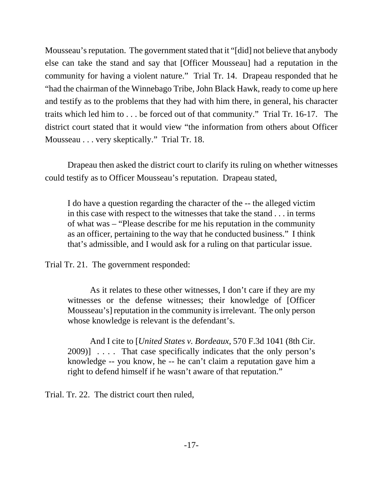Mousseau's reputation. The government stated that it "[did] not believe that anybody else can take the stand and say that [Officer Mousseau] had a reputation in the community for having a violent nature." Trial Tr. 14. Drapeau responded that he "had the chairman of the Winnebago Tribe, John Black Hawk, ready to come up here and testify as to the problems that they had with him there, in general, his character traits which led him to . . . be forced out of that community." Trial Tr. 16-17. The district court stated that it would view "the information from others about Officer Mousseau . . . very skeptically." Trial Tr. 18.

Drapeau then asked the district court to clarify its ruling on whether witnesses could testify as to Officer Mousseau's reputation. Drapeau stated,

I do have a question regarding the character of the -- the alleged victim in this case with respect to the witnesses that take the stand . . . in terms of what was – "Please describe for me his reputation in the community as an officer, pertaining to the way that he conducted business." I think that's admissible, and I would ask for a ruling on that particular issue.

Trial Tr. 21. The government responded:

As it relates to these other witnesses, I don't care if they are my witnesses or the defense witnesses; their knowledge of [Officer Mousseau's] reputation in the community is irrelevant. The only person whose knowledge is relevant is the defendant's.

And I cite to [*United States v. Bordeaux*, 570 F.3d 1041 (8th Cir. 2009)] . . . . That case specifically indicates that the only person's knowledge -- you know, he -- he can't claim a reputation gave him a right to defend himself if he wasn't aware of that reputation."

Trial. Tr. 22. The district court then ruled,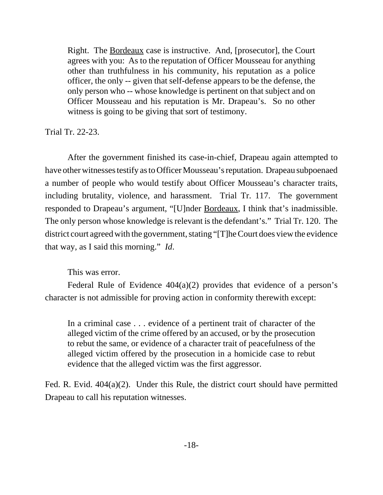Right. The <u>Bordeaux</u> case is instructive. And, [prosecutor], the Court agrees with you: As to the reputation of Officer Mousseau for anything other than truthfulness in his community, his reputation as a police officer, the only -- given that self-defense appears to be the defense, the only person who -- whose knowledge is pertinent on that subject and on Officer Mousseau and his reputation is Mr. Drapeau's. So no other witness is going to be giving that sort of testimony.

Trial Tr. 22-23.

After the government finished its case-in-chief, Drapeau again attempted to have other witnesses testify as to Officer Mousseau's reputation. Drapeau subpoenaed a number of people who would testify about Officer Mousseau's character traits, including brutality, violence, and harassment. Trial Tr. 117. The government responded to Drapeau's argument, "[U]nder Bordeaux, I think that's inadmissible. The only person whose knowledge is relevant is the defendant's." Trial Tr. 120. The district court agreed with the government, stating "[T]he Court does view the evidence that way, as I said this morning." *Id*.

This was error.

Federal Rule of Evidence 404(a)(2) provides that evidence of a person's character is not admissible for proving action in conformity therewith except:

In a criminal case . . . evidence of a pertinent trait of character of the alleged victim of the crime offered by an accused, or by the prosecution to rebut the same, or evidence of a character trait of peacefulness of the alleged victim offered by the prosecution in a homicide case to rebut evidence that the alleged victim was the first aggressor.

Fed. R. Evid. 404(a)(2). Under this Rule, the district court should have permitted Drapeau to call his reputation witnesses.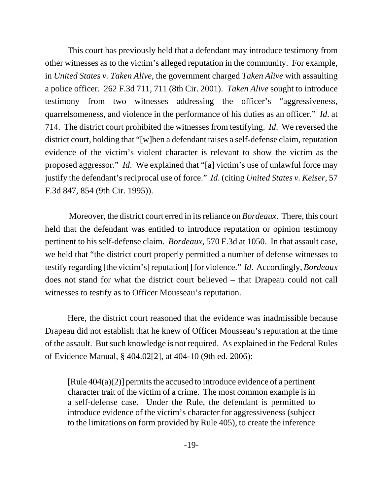This court has previously held that a defendant may introduce testimony from other witnesses as to the victim's alleged reputation in the community. For example, in *United States v. Taken Alive*, the government charged *Taken Alive* with assaulting a police officer. 262 F.3d 711, 711 (8th Cir. 2001). *Taken Alive* sought to introduce testimony from two witnesses addressing the officer's "aggressiveness, quarrelsomeness, and violence in the performance of his duties as an officer." *Id*. at 714. The district court prohibited the witnesses from testifying. *Id*. We reversed the district court, holding that "[w]hen a defendant raises a self-defense claim, reputation evidence of the victim's violent character is relevant to show the victim as the proposed aggressor." *Id*. We explained that "[a] victim's use of unlawful force may justify the defendant's reciprocal use of force." *Id*. (citing *United States v. Keiser*, 57 F.3d 847, 854 (9th Cir. 1995)).

 Moreover, the district court erred in its reliance on *Bordeaux*. There, this court held that the defendant was entitled to introduce reputation or opinion testimony pertinent to his self-defense claim. *Bordeaux*, 570 F.3d at 1050. In that assault case, we held that "the district court properly permitted a number of defense witnesses to testify regarding [the victim's] reputation[] for violence." *Id*. Accordingly, *Bordeaux* does not stand for what the district court believed – that Drapeau could not call witnesses to testify as to Officer Mousseau's reputation.

Here, the district court reasoned that the evidence was inadmissible because Drapeau did not establish that he knew of Officer Mousseau's reputation at the time of the assault. But such knowledge is not required. As explained in the Federal Rules of Evidence Manual, § 404.02[2], at 404-10 (9th ed. 2006):

 $[Rule 404(a)(2)]$  permits the accused to introduce evidence of a pertinent character trait of the victim of a crime. The most common example is in a self-defense case. Under the Rule, the defendant is permitted to introduce evidence of the victim's character for aggressiveness (subject to the limitations on form provided by Rule 405), to create the inference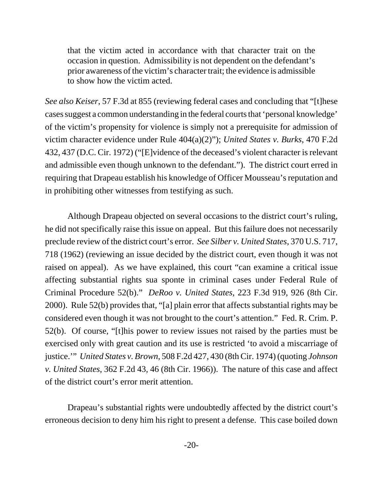that the victim acted in accordance with that character trait on the occasion in question. Admissibility is not dependent on the defendant's prior awareness of the victim's character trait; the evidence is admissible to show how the victim acted.

*See also Keiser*, 57 F.3d at 855 (reviewing federal cases and concluding that "[t]hese cases suggest a common understanding in the federal courts that 'personal knowledge' of the victim's propensity for violence is simply not a prerequisite for admission of victim character evidence under Rule 404(a)(2)"); *United States v. Burks*, 470 F.2d 432, 437 (D.C. Cir. 1972) ("[E]vidence of the deceased's violent character is relevant and admissible even though unknown to the defendant."). The district court erred in requiring that Drapeau establish his knowledge of Officer Mousseau's reputation and in prohibiting other witnesses from testifying as such.

Although Drapeau objected on several occasions to the district court's ruling, he did not specifically raise this issue on appeal. But this failure does not necessarily preclude review of the district court's error. *See Silber v. United States*, 370 U.S. 717, 718 (1962) (reviewing an issue decided by the district court, even though it was not raised on appeal). As we have explained, this court "can examine a critical issue affecting substantial rights sua sponte in criminal cases under Federal Rule of Criminal Procedure 52(b)." *DeRoo v. United States*, 223 F.3d 919, 926 (8th Cir. 2000). Rule 52(b) provides that, "[a] plain error that affects substantial rights may be considered even though it was not brought to the court's attention." Fed. R. Crim. P. 52(b). Of course, "[t]his power to review issues not raised by the parties must be exercised only with great caution and its use is restricted 'to avoid a miscarriage of justice.'" *United States v. Brown*, 508 F.2d 427, 430 (8th Cir. 1974) (quoting *Johnson v. United States*, 362 F.2d 43, 46 (8th Cir. 1966)). The nature of this case and affect of the district court's error merit attention.

Drapeau's substantial rights were undoubtedly affected by the district court's erroneous decision to deny him his right to present a defense. This case boiled down